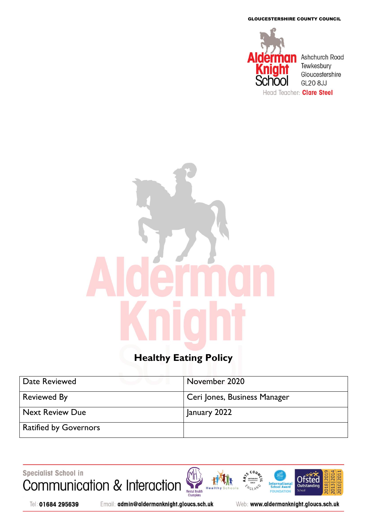GLOUCESTERSHIRE COUNTY COUNCIL



# **Healthy Eating Policy**

| Date Reviewed                | November 2020                |
|------------------------------|------------------------------|
| <b>Reviewed By</b>           | Ceri Jones, Business Manager |
| <b>Next Review Due</b>       | January 2022                 |
| <b>Ratified by Governors</b> |                              |

Specialist School in Communication & Interaction





2010 20

2013 20

Tel: 01684 295639

Email: admin@aldermanknight.gloucs.sch.uk

Web: www.aldermanknight.gloucs.sch.uk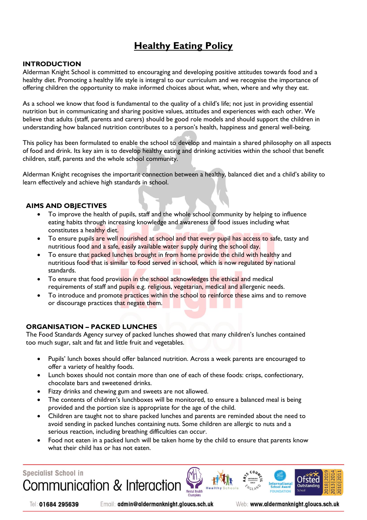## **Healthy Eating Policy**

#### **INTRODUCTION**

Alderman Knight School is committed to encouraging and developing positive attitudes towards food and a healthy diet. Promoting a healthy life style is integral to our curriculum and we recognise the importance of offering children the opportunity to make informed choices about what, when, where and why they eat.

As a school we know that food is fundamental to the quality of a child's life; not just in providing essential nutrition but in communicating and sharing positive values, attitudes and experiences with each other. We believe that adults (staff, parents and carers) should be good role models and should support the children in understanding how balanced nutrition contributes to a person's health, happiness and general well-being.

This policy has been formulated to enable the school to develop and maintain a shared philosophy on all aspects of food and drink. Its key aim is to develop healthy eating and drinking activities within the school that benefit children, staff, parents and the whole school community.

Alderman Knight recognises the important connection between a healthy, balanced diet and a child's ability to learn effectively and achieve high standards in school.

#### **AIMS AND OBJECTIVES**

- To improve the health of pupils, staff and the whole school community by helping to influence eating habits through increasing knowledge and awareness of food issues including what constitutes a healthy diet.
- To ensure pupils are well nourished at school and that every pupil has access to safe, tasty and nutritious food and a safe, easily available water supply during the school day.
- To ensure that packed lunches brought in from home provide the child with healthy and nutritious food that is similar to food served in school, which is now regulated by national standards.
- To ensure that food provision in the school acknowledges the ethical and medical requirements of staff and pupils e.g. religious, vegetarian, medical and allergenic needs.
- To introduce and promote practices within the school to reinforce these aims and to remove or discourage practices that negate them.

#### **ORGANISATION – PACKED LUNCHES**

The Food Standards Agency survey of packed lunches showed that many children's lunches contained too much sugar, salt and fat and little fruit and vegetables.

- Pupils' lunch boxes should offer balanced nutrition. Across a week parents are encouraged to offer a variety of healthy foods.
- Lunch boxes should not contain more than one of each of these foods: crisps, confectionary, chocolate bars and sweetened drinks.
- Fizzy drinks and chewing gum and sweets are not allowed.
- The contents of children's lunchboxes will be monitored, to ensure a balanced meal is being provided and the portion size is appropriate for the age of the child.
- Children are taught not to share packed lunches and parents are reminded about the need to avoid sending in packed lunches containing nuts. Some children are allergic to nuts and a serious reaction, including breathing difficulties can occur.
- Food not eaten in a packed lunch will be taken home by the child to ensure that parents know what their child has or has not eaten.

**Specialist School in** 

Communication & Interaction

Tel: 01684 295639

Email: admin@aldermanknight.gloucs.sch.uk

Web: www.aldermanknight.gloucs.sch.uk